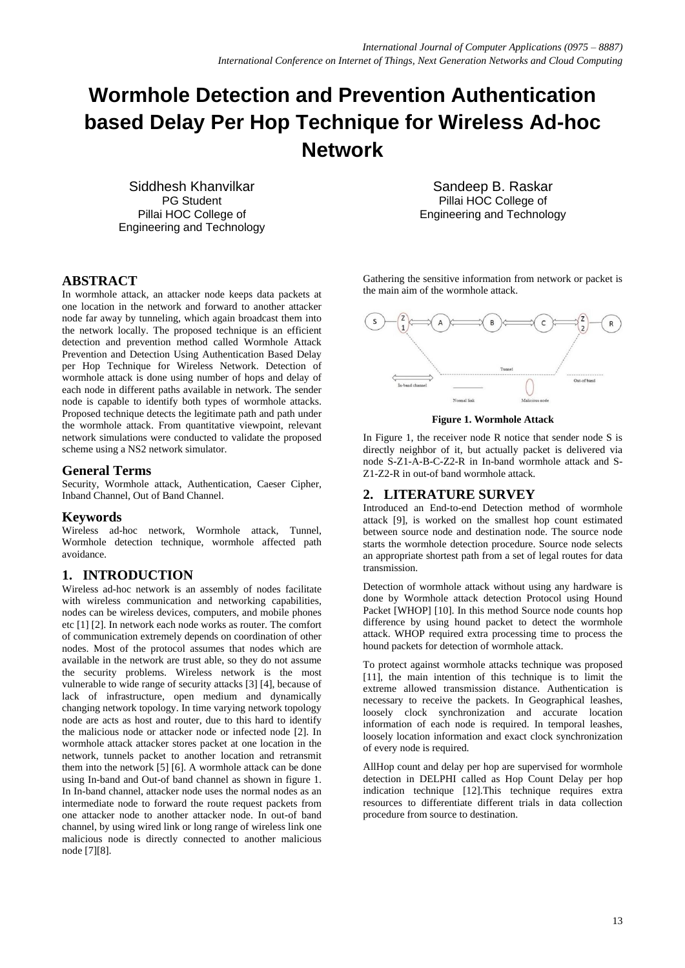# **Wormhole Detection and Prevention Authentication based Delay Per Hop Technique for Wireless Ad-hoc Network**

Siddhesh Khanvilkar PG Student Pillai HOC College of Engineering and Technology

## **ABSTRACT**

In wormhole attack, an attacker node keeps data packets at one location in the network and forward to another attacker node far away by tunneling, which again broadcast them into the network locally. The proposed technique is an efficient detection and prevention method called Wormhole Attack Prevention and Detection Using Authentication Based Delay per Hop Technique for Wireless Network. Detection of wormhole attack is done using number of hops and delay of each node in different paths available in network. The sender node is capable to identify both types of wormhole attacks. Proposed technique detects the legitimate path and path under the wormhole attack. From quantitative viewpoint, relevant network simulations were conducted to validate the proposed scheme using a NS2 network simulator.

#### **General Terms**

Security, Wormhole attack, Authentication, Caeser Cipher, Inband Channel, Out of Band Channel.

#### **Keywords**

Wireless ad-hoc network, Wormhole attack, Tunnel, Wormhole detection technique, wormhole affected path avoidance.

#### **1. INTRODUCTION**

Wireless ad-hoc network is an assembly of nodes facilitate with wireless communication and networking capabilities, nodes can be wireless devices, computers, and mobile phones etc [1] [2]. In network each node works as router. The comfort of communication extremely depends on coordination of other nodes. Most of the protocol assumes that nodes which are available in the network are trust able, so they do not assume the security problems. Wireless network is the most vulnerable to wide range of security attacks [3] [4], because of lack of infrastructure, open medium and dynamically changing network topology. In time varying network topology node are acts as host and router, due to this hard to identify the malicious node or attacker node or infected node [2]. In wormhole attack attacker stores packet at one location in the network, tunnels packet to another location and retransmit them into the network [5] [6]. A wormhole attack can be done using In-band and Out-of band channel as shown in figure 1. In In-band channel, attacker node uses the normal nodes as an intermediate node to forward the route request packets from one attacker node to another attacker node. In out-of band channel, by using wired link or long range of wireless link one malicious node is directly connected to another malicious node [7][8].

Sandeep B. Raskar Pillai HOC College of Engineering and Technology

Gathering the sensitive information from network or packet is the main aim of the wormhole attack.



**Figure 1. Wormhole Attack**

In Figure 1, the receiver node R notice that sender node S is directly neighbor of it, but actually packet is delivered via node S-Z1-A-B-C-Z2-R in In-band wormhole attack and S-Z1-Z2-R in out-of band wormhole attack.

# **2. LITERATURE SURVEY**

Introduced an End-to-end Detection method of wormhole attack [9], is worked on the smallest hop count estimated between source node and destination node. The source node starts the wormhole detection procedure. Source node selects an appropriate shortest path from a set of legal routes for data transmission.

Detection of wormhole attack without using any hardware is done by Wormhole attack detection Protocol using Hound Packet [WHOP] [10]. In this method Source node counts hop difference by using hound packet to detect the wormhole attack. WHOP required extra processing time to process the hound packets for detection of wormhole attack.

To protect against wormhole attacks technique was proposed [11], the main intention of this technique is to limit the extreme allowed transmission distance. Authentication is necessary to receive the packets. In Geographical leashes, loosely clock synchronization and accurate location information of each node is required. In temporal leashes, loosely location information and exact clock synchronization of every node is required.

AllHop count and delay per hop are supervised for wormhole detection in DELPHI called as Hop Count Delay per hop indication technique [12].This technique requires extra resources to differentiate different trials in data collection procedure from source to destination.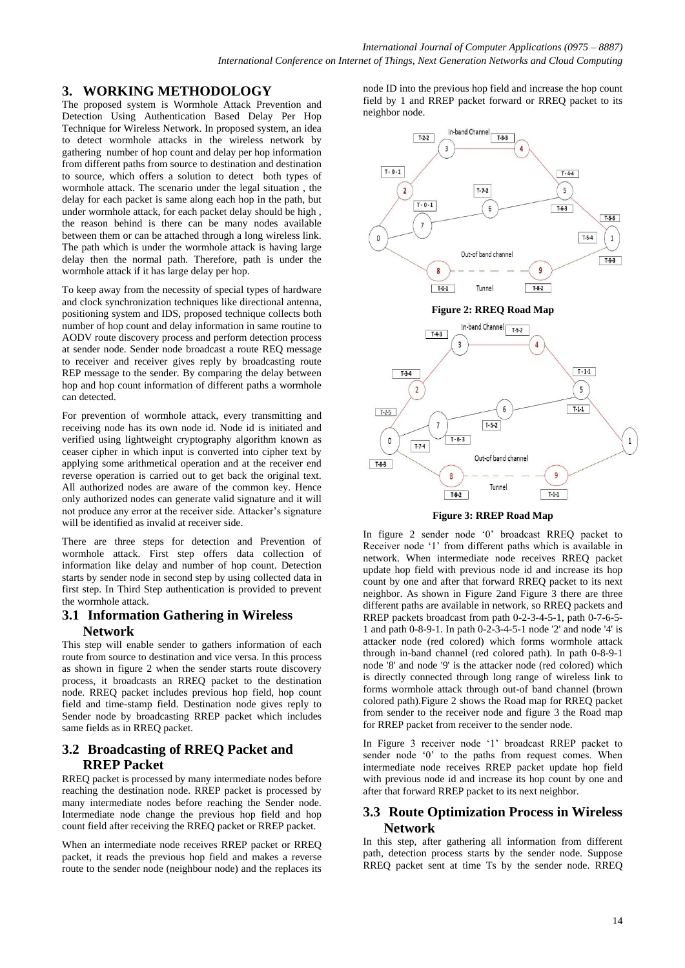# **3. WORKING METHODOLOGY**

The proposed system is Wormhole Attack Prevention and Detection Using Authentication Based Delay Per Hop Technique for Wireless Network. In proposed system, an idea to detect wormhole attacks in the wireless network by gathering number of hop count and delay per hop information from different paths from source to destination and destination to source, which offers a solution to detect both types of wormhole attack. The scenario under the legal situation , the delay for each packet is same along each hop in the path, but under wormhole attack, for each packet delay should be high , the reason behind is there can be many nodes available between them or can be attached through a long wireless link. The path which is under the wormhole attack is having large delay then the normal path. Therefore, path is under the wormhole attack if it has large delay per hop.

To keep away from the necessity of special types of hardware and clock synchronization techniques like directional antenna, positioning system and IDS, proposed technique collects both number of hop count and delay information in same routine to AODV route discovery process and perform detection process at sender node. Sender node broadcast a route REQ message to receiver and receiver gives reply by broadcasting route REP message to the sender. By comparing the delay between hop and hop count information of different paths a wormhole can detected.

For prevention of wormhole attack, every transmitting and receiving node has its own node id. Node id is initiated and verified using lightweight cryptography algorithm known as ceaser cipher in which input is converted into cipher text by applying some arithmetical operation and at the receiver end reverse operation is carried out to get back the original text. All authorized nodes are aware of the common key. Hence only authorized nodes can generate valid signature and it will not produce any error at the receiver side. Attacker's signature will be identified as invalid at receiver side.

There are three steps for detection and Prevention of wormhole attack. First step offers data collection of information like delay and number of hop count. Detection starts by sender node in second step by using collected data in first step. In Third Step authentication is provided to prevent the wormhole attack.

## **3.1 Information Gathering in Wireless Network**

This step will enable sender to gathers information of each route from source to destination and vice versa. In this process as shown in figure 2 when the sender starts route discovery process, it broadcasts an RREQ packet to the destination node. RREQ packet includes previous hop field, hop count field and time-stamp field. Destination node gives reply to Sender node by broadcasting RREP packet which includes same fields as in RREQ packet.

# **3.2 Broadcasting of RREQ Packet and RREP Packet**

RREQ packet is processed by many intermediate nodes before reaching the destination node. RREP packet is processed by many intermediate nodes before reaching the Sender node. Intermediate node change the previous hop field and hop count field after receiving the RREQ packet or RREP packet.

When an intermediate node receives RREP packet or RREQ packet, it reads the previous hop field and makes a reverse route to the sender node (neighbour node) and the replaces its node ID into the previous hop field and increase the hop count field by 1 and RREP packet forward or RREQ packet to its neighbor node.



**Figure 3: RREP Road Map**

In figure 2 sender node '0' broadcast RREQ packet to Receiver node '1' from different paths which is available in network. When intermediate node receives RREQ packet update hop field with previous node id and increase its hop count by one and after that forward RREQ packet to its next neighbor. As shown in Figure 2and Figure 3 there are three different paths are available in network, so RREQ packets and RREP packets broadcast from path 0-2-3-4-5-1, path 0-7-6-5- 1 and path 0-8-9-1. In path 0-2-3-4-5-1 node '2' and node '4' is attacker node (red colored) which forms wormhole attack through in-band channel (red colored path). In path 0-8-9-1 node '8' and node '9' is the attacker node (red colored) which is directly connected through long range of wireless link to forms wormhole attack through out-of band channel (brown colored path).Figure 2 shows the Road map for RREQ packet from sender to the receiver node and figure 3 the Road map for RREP packet from receiver to the sender node.

In Figure 3 receiver node '1' broadcast RREP packet to sender node '0' to the paths from request comes. When intermediate node receives RREP packet update hop field with previous node id and increase its hop count by one and after that forward RREP packet to its next neighbor.

## **3.3 Route Optimization Process in Wireless Network**

In this step, after gathering all information from different path, detection process starts by the sender node. Suppose RREQ packet sent at time Ts by the sender node. RREQ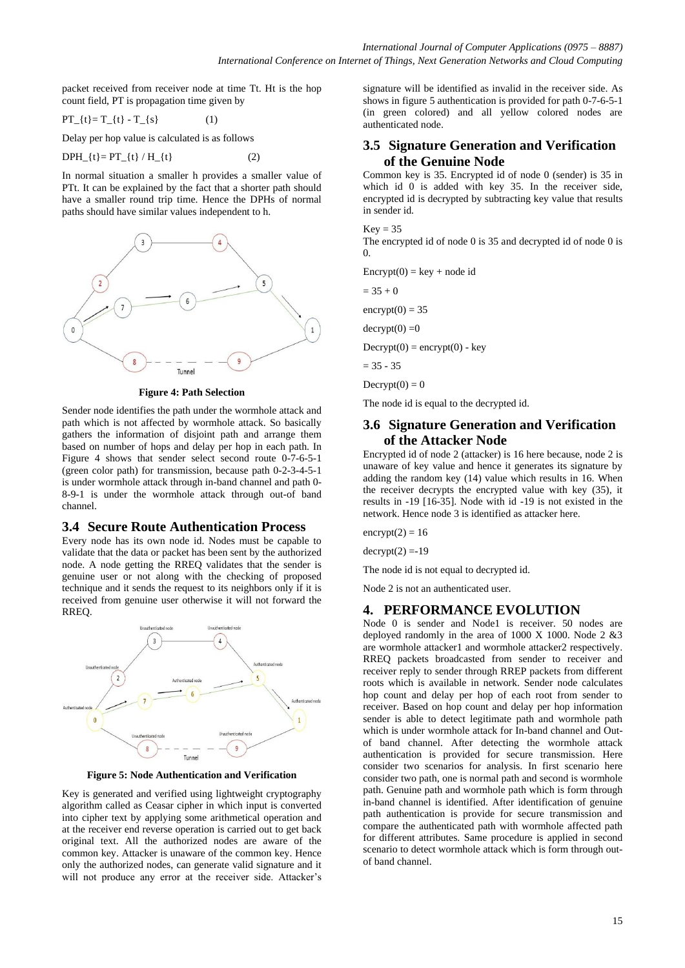packet received from receiver node at time Tt. Ht is the hop count field, PT is propagation time given by

$$
PT_{-}\{t\} = T_{-}\{t\} - T_{-}\{s\}
$$
 (1)

Delay per hop value is calculated is as follows

 $DPH_{t} = PT_{t} / H_{t}$  (2)

In normal situation a smaller h provides a smaller value of PTt. It can be explained by the fact that a shorter path should have a smaller round trip time. Hence the DPHs of normal paths should have similar values independent to h.



**Figure 4: Path Selection**

Sender node identifies the path under the wormhole attack and path which is not affected by wormhole attack. So basically gathers the information of disjoint path and arrange them based on number of hops and delay per hop in each path. In Figure 4 shows that sender select second route 0-7-6-5-1 (green color path) for transmission, because path 0-2-3-4-5-1 is under wormhole attack through in-band channel and path 0- 8-9-1 is under the wormhole attack through out-of band channel.

#### **3.4 Secure Route Authentication Process**

Every node has its own node id. Nodes must be capable to validate that the data or packet has been sent by the authorized node. A node getting the RREQ validates that the sender is genuine user or not along with the checking of proposed technique and it sends the request to its neighbors only if it is received from genuine user otherwise it will not forward the RREQ.



**Figure 5: Node Authentication and Verification**

Key is generated and verified using lightweight cryptography algorithm called as Ceasar cipher in which input is converted into cipher text by applying some arithmetical operation and at the receiver end reverse operation is carried out to get back original text. All the authorized nodes are aware of the common key. Attacker is unaware of the common key. Hence only the authorized nodes, can generate valid signature and it will not produce any error at the receiver side. Attacker's

signature will be identified as invalid in the receiver side. As shows in figure 5 authentication is provided for path 0-7-6-5-1 (in green colored) and all yellow colored nodes are authenticated node.

# **3.5 Signature Generation and Verification of the Genuine Node**

Common key is 35. Encrypted id of node 0 (sender) is 35 in which id 0 is added with key 35. In the receiver side, encrypted id is decrypted by subtracting key value that results in sender id.

```
Key = 35
```
The encrypted id of node 0 is 35 and decrypted id of node 0 is 0.

 $\text{Energy}(0) = \text{key} + \text{node}$  id

 $= 35 + 0$ 

 $\text{encryption}(0) = 35$ 

 $d$ ecrypt $(0) = 0$ 

 $Decrypt(0) = encrypt(0) - key$ 

 $= 35 - 35$ 

 $\text{Decrypt}(0) = 0$ 

The node id is equal to the decrypted id.

## **3.6 Signature Generation and Verification of the Attacker Node**

Encrypted id of node 2 (attacker) is 16 here because, node 2 is unaware of key value and hence it generates its signature by adding the random key (14) value which results in 16. When the receiver decrypts the encrypted value with key (35), it results in -19 [16-35]. Node with id -19 is not existed in the network. Hence node 3 is identified as attacker here.

 $\text{encryption}(2) = 16$ 

 $decrypt(2) = -19$ 

The node id is not equal to decrypted id.

Node 2 is not an authenticated user.

# **4. PERFORMANCE EVOLUTION**

Node 0 is sender and Node1 is receiver. 50 nodes are deployed randomly in the area of 1000 X 1000. Node 2 &3 are wormhole attacker1 and wormhole attacker2 respectively. RREQ packets broadcasted from sender to receiver and receiver reply to sender through RREP packets from different roots which is available in network. Sender node calculates hop count and delay per hop of each root from sender to receiver. Based on hop count and delay per hop information sender is able to detect legitimate path and wormhole path which is under wormhole attack for In-band channel and Outof band channel. After detecting the wormhole attack authentication is provided for secure transmission. Here consider two scenarios for analysis. In first scenario here consider two path, one is normal path and second is wormhole path. Genuine path and wormhole path which is form through in-band channel is identified. After identification of genuine path authentication is provide for secure transmission and compare the authenticated path with wormhole affected path for different attributes. Same procedure is applied in second scenario to detect wormhole attack which is form through outof band channel.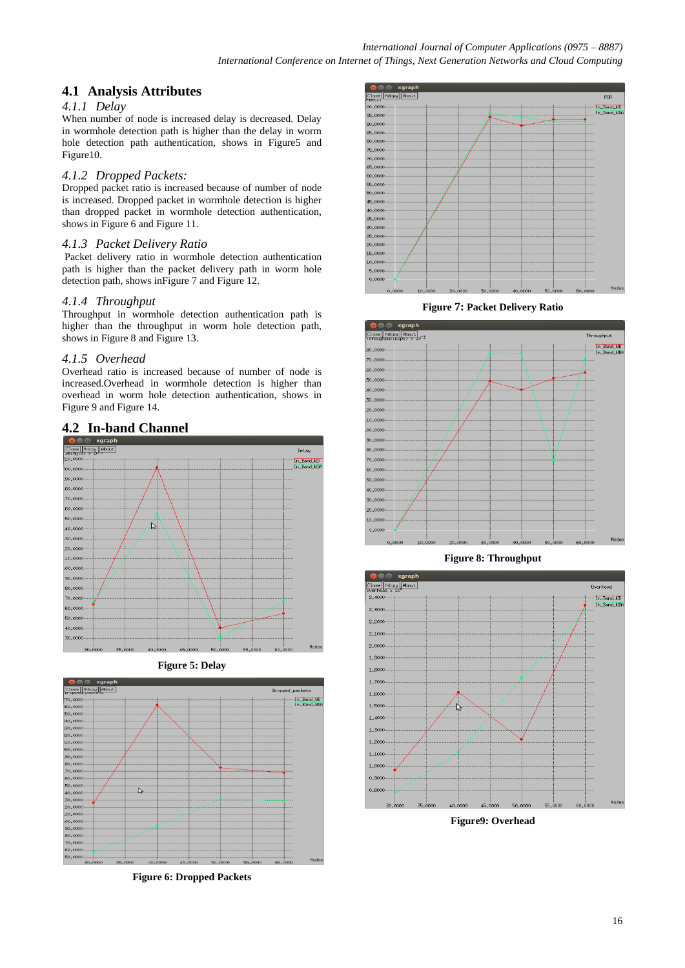# **4.1 Analysis Attributes**

#### *4.1.1 Delay*

When number of node is increased delay is decreased. Delay in wormhole detection path is higher than the delay in worm hole detection path authentication, shows in Figure5 and Figure10.

#### *4.1.2 Dropped Packets:*

Dropped packet ratio is increased because of number of node is increased. Dropped packet in wormhole detection is higher than dropped packet in wormhole detection authentication, shows in Figure 6 and Figure 11.

#### *4.1.3 Packet Delivery Ratio*

Packet delivery ratio in wormhole detection authentication path is higher than the packet delivery path in worm hole detection path, shows inFigure 7 and Figure 12.

#### *4.1.4 Throughput*

Throughput in wormhole detection authentication path is higher than the throughput in worm hole detection path, shows in Figure 8 and Figure 13.

#### *4.1.5 Overhead*

Overhead ratio is increased because of number of node is increased.Overhead in wormhole detection is higher than overhead in worm hole detection authentication, shows in Figure 9 and Figure 14.

## **4.2 In-band Channel**







**Figure 6: Dropped Packets**







**Figure 8: Throughput**



**Figure9: Overhead**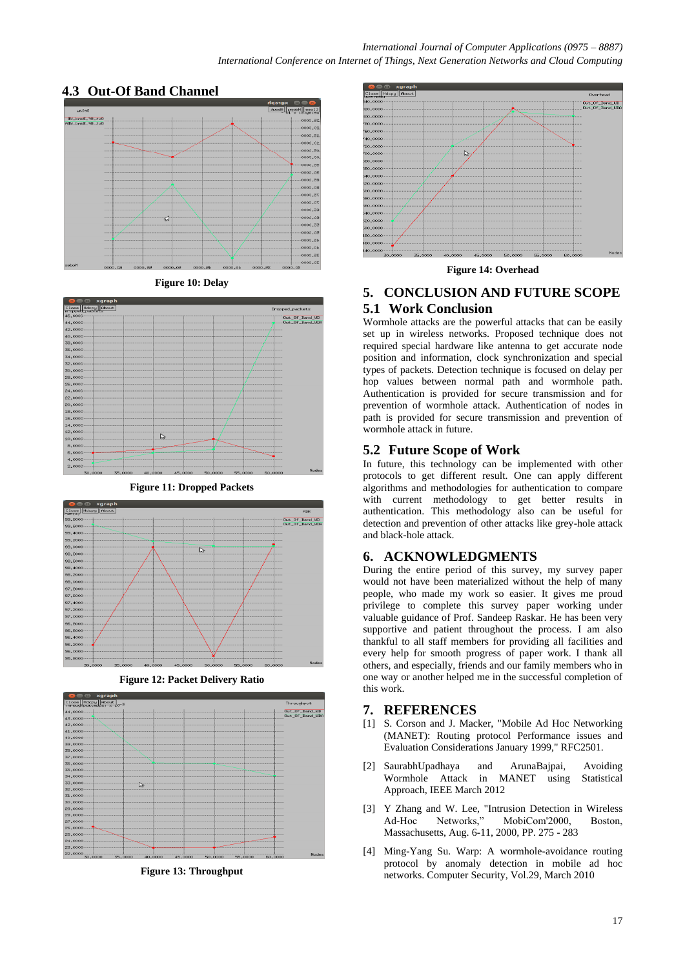

# **4.3 Out-Of Band Channel**





**Figure 11: Dropped Packets**



**Figure 12: Packet Delivery Ratio**



**Figure 13: Throughput**



**Figure 14: Overhead**

# **5. CONCLUSION AND FUTURE SCOPE 5.1 Work Conclusion**

Wormhole attacks are the powerful attacks that can be easily set up in wireless networks. Proposed technique does not required special hardware like antenna to get accurate node position and information, clock synchronization and special types of packets. Detection technique is focused on delay per hop values between normal path and wormhole path. Authentication is provided for secure transmission and for prevention of wormhole attack. Authentication of nodes in path is provided for secure transmission and prevention of wormhole attack in future.

# **5.2 Future Scope of Work**

In future, this technology can be implemented with other protocols to get different result. One can apply different algorithms and methodologies for authentication to compare with current methodology to get better results in authentication. This methodology also can be useful for detection and prevention of other attacks like grey-hole attack and black-hole attack.

# **6. ACKNOWLEDGMENTS**

During the entire period of this survey, my survey paper would not have been materialized without the help of many people, who made my work so easier. It gives me proud privilege to complete this survey paper working under valuable guidance of Prof. Sandeep Raskar. He has been very supportive and patient throughout the process. I am also thankful to all staff members for providing all facilities and every help for smooth progress of paper work. I thank all others, and especially, friends and our family members who in one way or another helped me in the successful completion of this work.

#### **7. REFERENCES**

- [1] S. Corson and J. Macker, "Mobile Ad Hoc Networking (MANET): Routing protocol Performance issues and Evaluation Considerations January 1999," RFC2501.
- [2] SaurabhUpadhaya and ArunaBajpai, Avoiding Wormhole Attack in MANET using Statistical Approach, IEEE March 2012
- [3] Y Zhang and W. Lee, "Intrusion Detection in Wireless Ad-Hoc Networks," MobiCom'2000, Boston, Massachusetts, Aug. 6-11, 2000, PP. 275 - 283
- [4] Ming-Yang Su. Warp: A wormhole-avoidance routing protocol by anomaly detection in mobile ad hoc networks. Computer Security, Vol.29, March 2010